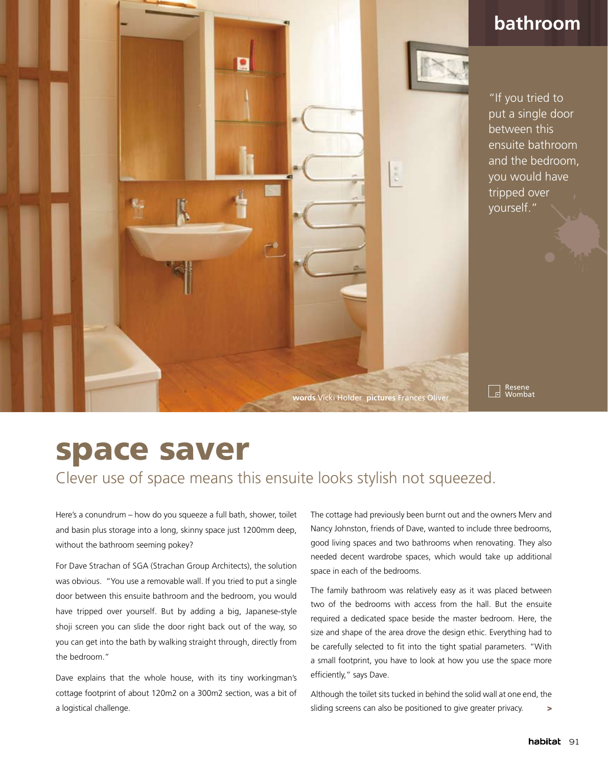

## **bathroom**

"If you tried to put a single door between this ensuite bathroom and the bedroom, you would have tripped over yourself."

Resene<br>Wombat . L

## space saver

Clever use of space means this ensuite looks stylish not squeezed.

Here's a conundrum – how do you squeeze a full bath, shower, toilet and basin plus storage into a long, skinny space just 1200mm deep, without the bathroom seeming pokey?

For Dave Strachan of SGA (Strachan Group Architects), the solution was obvious. "You use a removable wall. If you tried to put a single door between this ensuite bathroom and the bedroom, you would have tripped over yourself. But by adding a big, Japanese-style shoji screen you can slide the door right back out of the way, so you can get into the bath by walking straight through, directly from the bedroom."

Dave explains that the whole house, with its tiny workingman's cottage footprint of about 120m2 on a 300m2 section, was a bit of a logistical challenge.

The cottage had previously been burnt out and the owners Merv and Nancy Johnston, friends of Dave, wanted to include three bedrooms, good living spaces and two bathrooms when renovating. They also needed decent wardrobe spaces, which would take up additional space in each of the bedrooms.

The family bathroom was relatively easy as it was placed between two of the bedrooms with access from the hall. But the ensuite required a dedicated space beside the master bedroom. Here, the size and shape of the area drove the design ethic. Everything had to be carefully selected to fit into the tight spatial parameters. "With a small footprint, you have to look at how you use the space more efficiently," says Dave.

Although the toilet sits tucked in behind the solid wall at one end, the sliding screens can also be positioned to give greater privacy. >